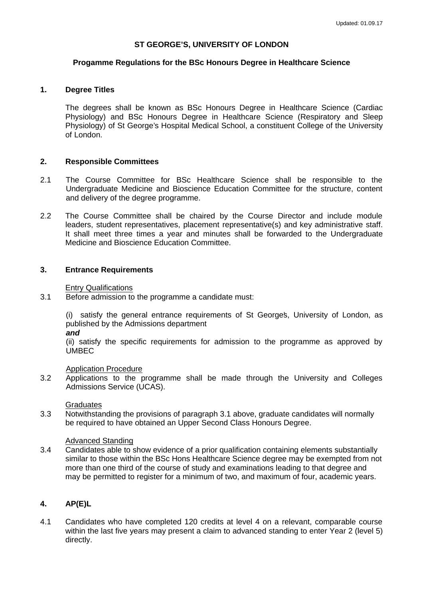# **ST GEORGE'S, UNIVERSITY OF LONDON**

## **Progamme Regulations for the BSc Honours Degree in Healthcare Science**

# **1. Degree Titles**

The degrees shall be known as BSc Honours Degree in Healthcare Science (Cardiac Physiology) and BSc Honours Degree in Healthcare Science (Respiratory and Sleep Physiology) of St George's Hospital Medical School, a constituent College of the University of London.

# **2. Responsible Committees**

- 2.1 The Course Committee for BSc Healthcare Science shall be responsible to the Undergraduate Medicine and Bioscience Education Committee for the structure, content and delivery of the degree programme.
- 2.2 The Course Committee shall be chaired by the Course Director and include module leaders, student representatives, placement representative(s) and key administrative staff. It shall meet three times a year and minutes shall be forwarded to the Undergraduate Medicine and Bioscience Education Committee.

# **3. Entrance Requirements**

### Entry Qualifications

3.1 Before admission to the programme a candidate must:

(i) satisfy the general entrance requirements of St George's, University of London, as published by the Admissions department

*and*

(ii) satisfy the specific requirements for admission to the programme as approved by UMBEC

### Application Procedure

3.2 Applications to the programme shall be made through the University and Colleges Admissions Service (UCAS).

### **Graduates**

3.3 Notwithstanding the provisions of paragraph 3.1 above, graduate candidates will normally be required to have obtained an Upper Second Class Honours Degree.

#### Advanced Standing

3.4 Candidates able to show evidence of a prior qualification containing elements substantially similar to those within the BSc Hons Healthcare Science degree may be exempted from not more than one third of the course of study and examinations leading to that degree and may be permitted to register for a minimum of two, and maximum of four, academic years.

# **4. AP(E)L**

4.1 Candidates who have completed 120 credits at level 4 on a relevant, comparable course within the last five years may present a claim to advanced standing to enter Year 2 (level 5) directly.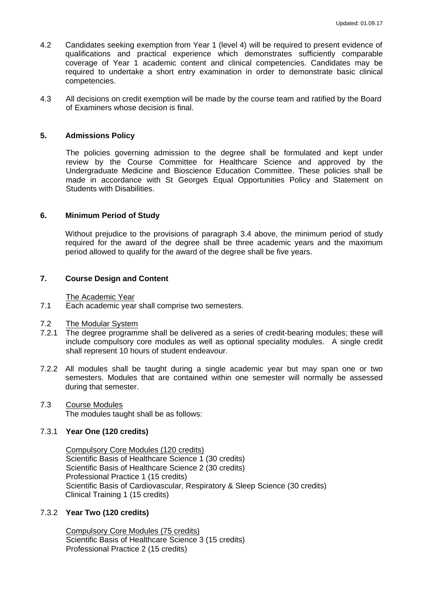- 4.2 Candidates seeking exemption from Year 1 (level 4) will be required to present evidence of qualifications and practical experience which demonstrates sufficiently comparable coverage of Year 1 academic content and clinical competencies. Candidates may be required to undertake a short entry examination in order to demonstrate basic clinical competencies.
- 4.3 All decisions on credit exemption will be made by the course team and ratified by the Board of Examiners whose decision is final.

# **5. Admissions Policy**

The policies governing admission to the degree shall be formulated and kept under review by the Course Committee for Healthcare Science and approved by the Undergraduate Medicine and Bioscience Education Committee. These policies shall be made in accordance with St George's Equal Opportunities Policy and Statement on Students with Disabilities.

# **6. Minimum Period of Study**

Without prejudice to the provisions of paragraph 3.4 above, the minimum period of study required for the award of the degree shall be three academic years and the maximum period allowed to qualify for the award of the degree shall be five years.

# **7. Course Design and Content**

The Academic Year

7.1 Each academic year shall comprise two semesters.

## 7.2 The Modular System

- 7.2.1 The degree programme shall be delivered as a series of credit-bearing modules; these will include compulsory core modules as well as optional speciality modules. A single credit shall represent 10 hours of student endeavour.
- 7.2.2 All modules shall be taught during a single academic year but may span one or two semesters. Modules that are contained within one semester will normally be assessed during that semester.
- 7.3 Course Modules

The modules taught shall be as follows:

# 7.3.1 **Year One (120 credits)**

Compulsory Core Modules (120 credits) Scientific Basis of Healthcare Science 1 (30 credits) Scientific Basis of Healthcare Science 2 (30 credits) Professional Practice 1 (15 credits) Scientific Basis of Cardiovascular, Respiratory & Sleep Science (30 credits) Clinical Training 1 (15 credits)

# 7.3.2 **Year Two (120 credits)**

Compulsory Core Modules (75 credits) Scientific Basis of Healthcare Science 3 (15 credits) Professional Practice 2 (15 credits)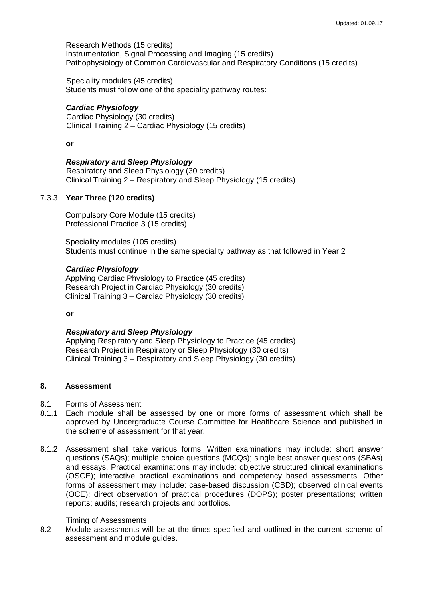Research Methods (15 credits) Instrumentation, Signal Processing and Imaging (15 credits) Pathophysiology of Common Cardiovascular and Respiratory Conditions (15 credits)

Speciality modules (45 credits) Students must follow one of the speciality pathway routes:

# *Cardiac Physiology*

Cardiac Physiology (30 credits) Clinical Training 2 – Cardiac Physiology (15 credits)

## **or**

# *Respiratory and Sleep Physiology*

Respiratory and Sleep Physiology (30 credits) Clinical Training 2 – Respiratory and Sleep Physiology (15 credits)

### 7.3.3 **Year Three (120 credits)**

Compulsory Core Module (15 credits) Professional Practice 3 (15 credits)

Speciality modules (105 credits) Students must continue in the same speciality pathway as that followed in Year 2

### *Cardiac Physiology*

Applying Cardiac Physiology to Practice (45 credits) Research Project in Cardiac Physiology (30 credits) Clinical Training 3 – Cardiac Physiology (30 credits)

**or**

### *Respiratory and Sleep Physiology*

Applying Respiratory and Sleep Physiology to Practice (45 credits) Research Project in Respiratory or Sleep Physiology (30 credits) Clinical Training 3 – Respiratory and Sleep Physiology (30 credits)

# **8. Assessment**

## 8.1 Forms of Assessment

- 8.1.1 Each module shall be assessed by one or more forms of assessment which shall be approved by Undergraduate Course Committee for Healthcare Science and published in the scheme of assessment for that year.
- 8.1.2 Assessment shall take various forms. Written examinations may include: short answer questions (SAQs); multiple choice questions (MCQs); single best answer questions (SBAs) and essays. Practical examinations may include: objective structured clinical examinations (OSCE); interactive practical examinations and competency based assessments. Other forms of assessment may include: case-based discussion (CBD); observed clinical events (OCE); direct observation of practical procedures (DOPS); poster presentations; written reports; audits; research projects and portfolios.

### Timing of Assessments

8.2 Module assessments will be at the times specified and outlined in the current scheme of assessment and module guides.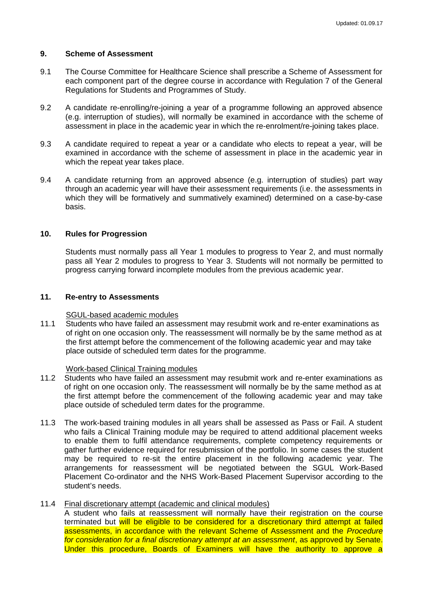### **9. Scheme of Assessment**

- 9.1 The Course Committee for Healthcare Science shall prescribe a Scheme of Assessment for each component part of the degree course in accordance with Regulation 7 of the General Regulations for Students and Programmes of Study.
- 9.2 A candidate re-enrolling/re-joining a year of a programme following an approved absence (e.g. interruption of studies), will normally be examined in accordance with the scheme of assessment in place in the academic year in which the re-enrolment/re-joining takes place.
- 9.3 A candidate required to repeat a year or a candidate who elects to repeat a year, will be examined in accordance with the scheme of assessment in place in the academic year in which the repeat year takes place.
- 9.4 A candidate returning from an approved absence (e.g. interruption of studies) part way through an academic year will have their assessment requirements (i.e. the assessments in which they will be formatively and summatively examined) determined on a case-by-case basis.

### **10. Rules for Progression**

Students must normally pass all Year 1 modules to progress to Year 2, and must normally pass all Year 2 modules to progress to Year 3. Students will not normally be permitted to progress carrying forward incomplete modules from the previous academic year.

#### **11. Re-entry to Assessments**

#### SGUL-based academic modules

11.1 Students who have failed an assessment may resubmit work and re-enter examinations as of right on one occasion only. The reassessment will normally be by the same method as at the first attempt before the commencement of the following academic year and may take place outside of scheduled term dates for the programme.

#### Work-based Clinical Training modules

- 11.2 Students who have failed an assessment may resubmit work and re-enter examinations as of right on one occasion only. The reassessment will normally be by the same method as at the first attempt before the commencement of the following academic year and may take place outside of scheduled term dates for the programme.
- 11.3 The work-based training modules in all years shall be assessed as Pass or Fail. A student who fails a Clinical Training module may be required to attend additional placement weeks to enable them to fulfil attendance requirements, complete competency requirements or gather further evidence required for resubmission of the portfolio. In some cases the student may be required to re-sit the entire placement in the following academic year. The arrangements for reassessment will be negotiated between the SGUL Work-Based Placement Co-ordinator and the NHS Work-Based Placement Supervisor according to the student's needs.

# 11.4 Final discretionary attempt (academic and clinical modules)

A student who fails at reassessment will normally have their registration on the course terminated but will be eligible to be considered for a discretionary third attempt at failed assessments, in accordance with the relevant Scheme of Assessment and the *Procedure for consideration for a final discretionary attempt at an assessment*, as approved by Senate. Under this procedure, Boards of Examiners will have the authority to approve a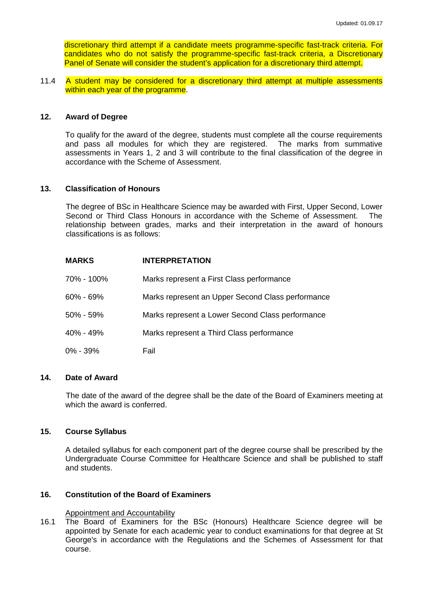discretionary third attempt if a candidate meets programme-specific fast-track criteria. For candidates who do not satisfy the programme-specific fast-track criteria, a Discretionary Panel of Senate will consider the student's application for a discretionary third attempt.

11.4 A student may be considered for a discretionary third attempt at multiple assessments within each year of the programme.

#### **12. Award of Degree**

To qualify for the award of the degree, students must complete all the course requirements and pass all modules for which they are registered. The marks from summative assessments in Years 1, 2 and 3 will contribute to the final classification of the degree in accordance with the Scheme of Assessment.

### **13. Classification of Honours**

The degree of BSc in Healthcare Science may be awarded with First, Upper Second, Lower Second or Third Class Honours in accordance with the Scheme of Assessment. The relationship between grades, marks and their interpretation in the award of honours classifications is as follows:

| <b>MARKS</b> | <b>INTERPRETATION</b>                             |
|--------------|---------------------------------------------------|
| 70% - 100%   | Marks represent a First Class performance         |
| 60% - 69%    | Marks represent an Upper Second Class performance |
| 50% - 59%    | Marks represent a Lower Second Class performance  |
| 40% - 49%    | Marks represent a Third Class performance         |
| 0% - 39%     | Fail                                              |

#### **14. Date of Award**

The date of the award of the degree shall be the date of the Board of Examiners meeting at which the award is conferred.

#### **15. Course Syllabus**

A detailed syllabus for each component part of the degree course shall be prescribed by the Undergraduate Course Committee for Healthcare Science and shall be published to staff and students.

# **16. Constitution of the Board of Examiners**

Appointment and Accountability

16.1 The Board of Examiners for the BSc (Honours) Healthcare Science degree will be appointed by Senate for each academic year to conduct examinations for that degree at St George's in accordance with the Regulations and the Schemes of Assessment for that course.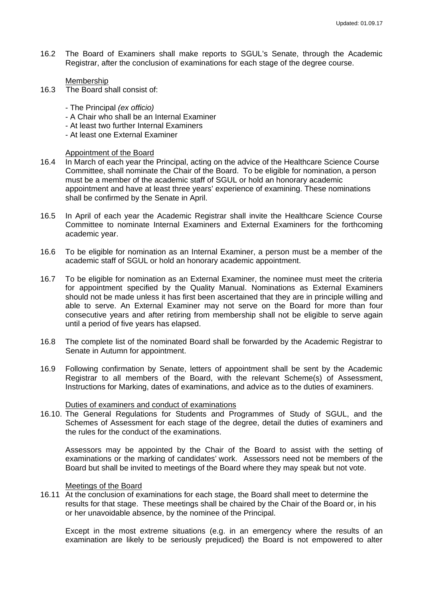- 16.2 The Board of Examiners shall make reports to SGUL's Senate, through the Academic Registrar, after the conclusion of examinations for each stage of the degree course.
	- Membership
- 16.3 The Board shall consist of:
	- The Principal *(ex officio)*
	- A Chair who shall be an Internal Examiner
	- At least two further Internal Examiners
	- At least one External Examiner

#### Appointment of the Board

- 16.4 In March of each year the Principal, acting on the advice of the Healthcare Science Course Committee, shall nominate the Chair of the Board. To be eligible for nomination, a person must be a member of the academic staff of SGUL or hold an honorary academic appointment and have at least three years' experience of examining. These nominations shall be confirmed by the Senate in April.
- 16.5 In April of each year the Academic Registrar shall invite the Healthcare Science Course Committee to nominate Internal Examiners and External Examiners for the forthcoming academic year.
- 16.6 To be eligible for nomination as an Internal Examiner, a person must be a member of the academic staff of SGUL or hold an honorary academic appointment.
- 16.7 To be eligible for nomination as an External Examiner, the nominee must meet the criteria for appointment specified by the Quality Manual. Nominations as External Examiners should not be made unless it has first been ascertained that they are in principle willing and able to serve. An External Examiner may not serve on the Board for more than four consecutive years and after retiring from membership shall not be eligible to serve again until a period of five years has elapsed.
- 16.8 The complete list of the nominated Board shall be forwarded by the Academic Registrar to Senate in Autumn for appointment.
- 16.9 Following confirmation by Senate, letters of appointment shall be sent by the Academic Registrar to all members of the Board, with the relevant Scheme(s) of Assessment, Instructions for Marking, dates of examinations, and advice as to the duties of examiners.

#### Duties of examiners and conduct of examinations

16.10. The General Regulations for Students and Programmes of Study of SGUL, and the Schemes of Assessment for each stage of the degree, detail the duties of examiners and the rules for the conduct of the examinations.

Assessors may be appointed by the Chair of the Board to assist with the setting of examinations or the marking of candidates' work. Assessors need not be members of the Board but shall be invited to meetings of the Board where they may speak but not vote.

#### Meetings of the Board

16.11 At the conclusion of examinations for each stage, the Board shall meet to determine the results for that stage. These meetings shall be chaired by the Chair of the Board or, in his or her unavoidable absence, by the nominee of the Principal.

Except in the most extreme situations (e.g. in an emergency where the results of an examination are likely to be seriously prejudiced) the Board is not empowered to alter